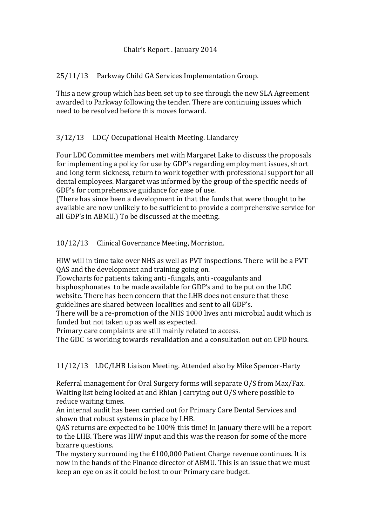## Chair's Report . January 2014

25/11/13 Parkway Child GA Services Implementation Group.

This a new group which has been set up to see through the new SLA Agreement awarded to Parkway following the tender. There are continuing issues which need to be resolved before this moves forward.

## 3/12/13 LDC/ Occupational Health Meeting. Llandarcy

Four LDC Committee members met with Margaret Lake to discuss the proposals for implementing a policy for use by GDP's regarding employment issues, short and long term sickness, return to work together with professional support for all dental employees. Margaret was informed by the group of the specific needs of GDP's for comprehensive guidance for ease of use.

(There has since been a development in that the funds that were thought to be available are now unlikely to be sufficient to provide a comprehensive service for all GDP's in ABMU.) To be discussed at the meeting.

10/12/13 Clinical Governance Meeting, Morriston.

HIW will in time take over NHS as well as PVT inspections. There will be a PVT QAS and the development and training going on.

Flowcharts for patients taking anti -fungals, anti -coagulants and bisphosphonates to be made available for GDP's and to be put on the LDC website. There has been concern that the LHB does not ensure that these guidelines are shared between localities and sent to all GDP's.

There will be a re-promotion of the NHS 1000 lives anti microbial audit which is funded but not taken up as well as expected.

Primary care complaints are still mainly related to access.

The GDC is working towards revalidation and a consultation out on CPD hours.

11/12/13 LDC/LHB Liaison Meeting. Attended also by Mike Spencer-Harty

Referral management for Oral Surgery forms will separate O/S from Max/Fax. Waiting list being looked at and Rhian J carrying out O/S where possible to reduce waiting times.

An internal audit has been carried out for Primary Care Dental Services and shown that robust systems in place by LHB.

QAS returns are expected to be 100% this time! In January there will be a report to the LHB. There was HIW input and this was the reason for some of the more bizarre questions.

The mystery surrounding the £100,000 Patient Charge revenue continues. It is now in the hands of the Finance director of ABMU. This is an issue that we must keep an eye on as it could be lost to our Primary care budget.